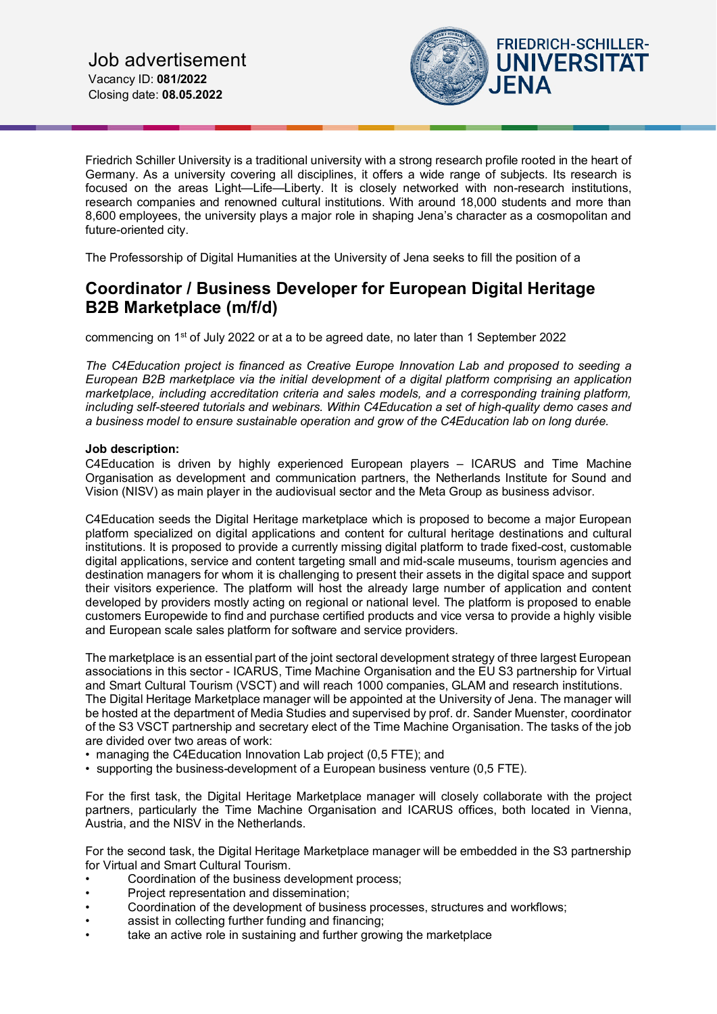

Friedrich Schiller University is a traditional university with a strong research profile rooted in the heart of Germany. As a university covering all disciplines, it offers a wide range of subjects. Its research is focused on the areas Light—Life—Liberty. It is closely networked with non-research institutions, research companies and renowned cultural institutions. With around 18,000 students and more than 8,600 employees, the university plays a major role in shaping Jena's character as a cosmopolitan and future-oriented city.

The Professorship of Digital Humanities at the University of Jena seeks to fill the position of a

# **Coordinator / Business Developer for European Digital Heritage B2B Marketplace (m/f/d)**

commencing on  $1<sup>st</sup>$  of July 2022 or at a to be agreed date, no later than 1 September 2022

*The C4Education project is financed as Creative Europe Innovation Lab and proposed to seeding a European B2B marketplace via the initial development of a digital platform comprising an application marketplace, including accreditation criteria and sales models, and a corresponding training platform, including self-steered tutorials and webinars. Within C4Education a set of high-quality demo cases and a business model to ensure sustainable operation and grow of the C4Education lab on long durée.*

#### **Job description:**

C4Education is driven by highly experienced European players – ICARUS and Time Machine Organisation as development and communication partners, the Netherlands Institute for Sound and Vision (NISV) as main player in the audiovisual sector and the Meta Group as business advisor.

C4Education seeds the Digital Heritage marketplace which is proposed to become a major European platform specialized on digital applications and content for cultural heritage destinations and cultural institutions. It is proposed to provide a currently missing digital platform to trade fixed-cost, customable digital applications, service and content targeting small and mid-scale museums, tourism agencies and destination managers for whom it is challenging to present their assets in the digital space and support their visitors experience. The platform will host the already large number of application and content developed by providers mostly acting on regional or national level. The platform is proposed to enable customers Europewide to find and purchase certified products and vice versa to provide a highly visible and European scale sales platform for software and service providers.

The marketplace is an essential part of the joint sectoral development strategy of three largest European associations in this sector - ICARUS, Time Machine Organisation and the EU S3 partnership for Virtual and Smart Cultural Tourism (VSCT) and will reach 1000 companies, GLAM and research institutions. The Digital Heritage Marketplace manager will be appointed at the University of Jena. The manager will be hosted at the department of Media Studies and supervised by prof. dr. Sander Muenster, coordinator of the S3 VSCT partnership and secretary elect of the Time Machine Organisation. The tasks of the job are divided over two areas of work:

- managing the C4Education Innovation Lab project (0,5 FTE); and
- supporting the business-development of a European business venture (0,5 FTE).

For the first task, the Digital Heritage Marketplace manager will closely collaborate with the project partners, particularly the Time Machine Organisation and ICARUS offices, both located in Vienna, Austria, and the NISV in the Netherlands.

For the second task, the Digital Heritage Marketplace manager will be embedded in the S3 partnership for Virtual and Smart Cultural Tourism.

- Coordination of the business development process:
- Project representation and dissemination;
- Coordination of the development of business processes, structures and workflows;
- assist in collecting further funding and financing;
- take an active role in sustaining and further growing the marketplace